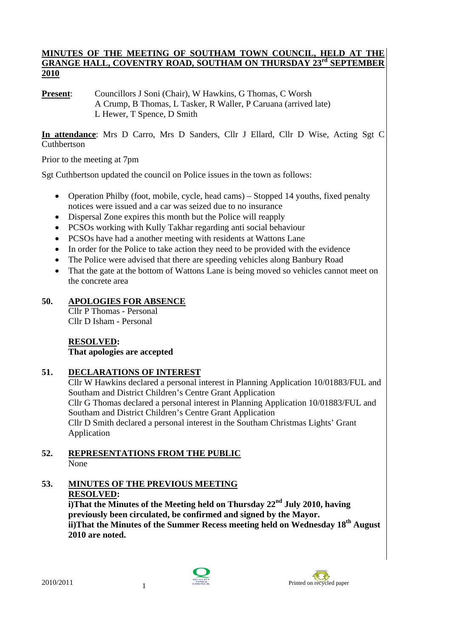## **MINUTES OF THE MEETING OF SOUTHAM TOWN COUNCIL, HELD AT THE GRANGE HALL, COVENTRY ROAD, SOUTHAM ON THURSDAY 23rd SEPTEMBER 2010**

**Present:** Councillors J Soni (Chair), W Hawkins, G Thomas, C Worsh A Crump, B Thomas, L Tasker, R Waller, P Caruana (arrived late) L Hewer, T Spence, D Smith

**In attendance**: Mrs D Carro, Mrs D Sanders, Cllr J Ellard, Cllr D Wise, Acting Sgt C Cuthbertson

Prior to the meeting at 7pm

Sgt Cuthbertson updated the council on Police issues in the town as follows:

- Operation Philby (foot, mobile, cycle, head cams) Stopped 14 youths, fixed penalty notices were issued and a car was seized due to no insurance
- Dispersal Zone expires this month but the Police will reapply
- PCSOs working with Kully Takhar regarding anti social behaviour
- PCSOs have had a another meeting with residents at Wattons Lane
- In order for the Police to take action they need to be provided with the evidence
- The Police were advised that there are speeding vehicles along Banbury Road
- That the gate at the bottom of Wattons Lane is being moved so vehicles cannot meet on the concrete area

## **50. APOLOGIES FOR ABSENCE**

Cllr P Thomas - Personal Cllr D Isham - Personal

## **RESOLVED: That apologies are accepted**

## **51. DECLARATIONS OF INTEREST**

Cllr W Hawkins declared a personal interest in Planning Application 10/01883/FUL and Southam and District Children's Centre Grant Application Cllr G Thomas declared a personal interest in Planning Application 10/01883/FUL and Southam and District Children's Centre Grant Application Cllr D Smith declared a personal interest in the Southam Christmas Lights' Grant Application

- **52. REPRESENTATIONS FROM THE PUBLIC** None
- **53. MINUTES OF THE PREVIOUS MEETING RESOLVED:**

 **i)That the Minutes of the Meeting held on Thursday 22nd July 2010, having previously been circulated, be confirmed and signed by the Mayor. ii)That the Minutes of the Summer Recess meeting held on Wednesday 18th August 2010 are noted.** 



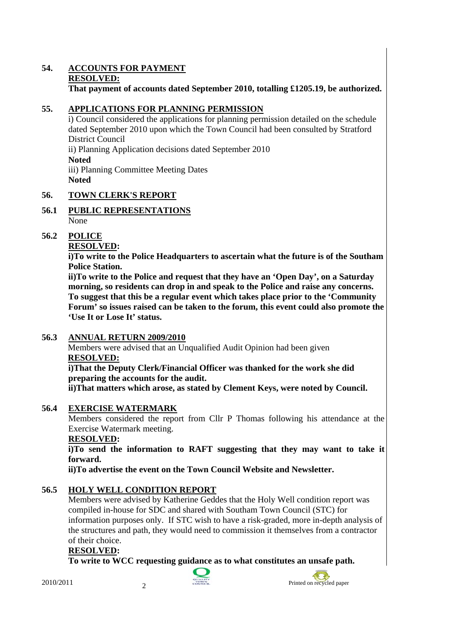## **54. ACCOUNTS FOR PAYMENT RESOLVED: That payment of accounts dated September 2010, totalling £1205.19, be authorized.**

## **55. APPLICATIONS FOR PLANNING PERMISSION**

i) Council considered the applications for planning permission detailed on the schedule dated September 2010 upon which the Town Council had been consulted by Stratford District Council

ii) Planning Application decisions dated September 2010 **Noted**  iii) Planning Committee Meeting Dates **Noted** 

## **56. TOWN CLERK'S REPORT**

## **56.1 PUBLIC REPRESENTATIONS** None

## **56.2 POLICE**

## **RESOLVED:**

**i)To write to the Police Headquarters to ascertain what the future is of the Southam Police Station.** 

**ii)To write to the Police and request that they have an 'Open Day', on a Saturday morning, so residents can drop in and speak to the Police and raise any concerns. To suggest that this be a regular event which takes place prior to the 'Community Forum' so issues raised can be taken to the forum, this event could also promote the 'Use It or Lose It' status.** 

## **56.3 ANNUAL RETURN 2009/2010**

Members were advised that an Unqualified Audit Opinion had been given **RESOLVED:**

## **i)That the Deputy Clerk/Financial Officer was thanked for the work she did preparing the accounts for the audit.**

**ii)That matters which arose, as stated by Clement Keys, were noted by Council.** 

## **56.4 EXERCISE WATERMARK**

Members considered the report from Cllr P Thomas following his attendance at the Exercise Watermark meeting.

## **RESOLVED:**

**i)To send the information to RAFT suggesting that they may want to take it forward.** 

**ii)To advertise the event on the Town Council Website and Newsletter.** 

## **56.5 HOLY WELL CONDITION REPORT**

Members were advised by Katherine Geddes that the Holy Well condition report was compiled in-house for SDC and shared with Southam Town Council (STC) for information purposes only. If STC wish to have a risk-graded, more in-depth analysis of the structures and path, they would need to commission it themselves from a contractor of their choice.

## **RESOLVED:**

**To write to WCC requesting guidance as to what constitutes an unsafe path.** 



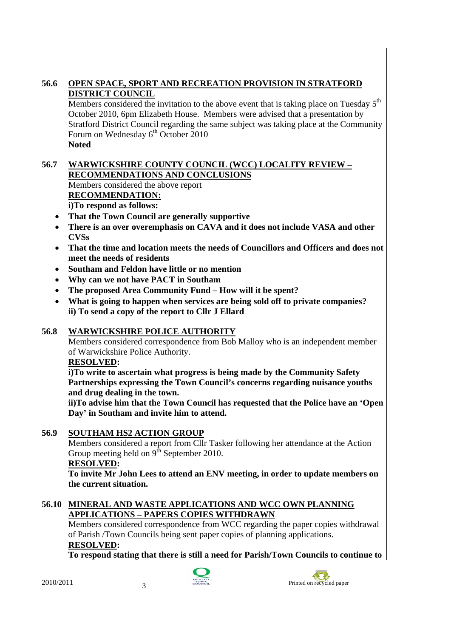## **56.6 OPEN SPACE, SPORT AND RECREATION PROVISION IN STRATFORD DISTRICT COUNCIL**

Members considered the invitation to the above event that is taking place on Tuesday  $5<sup>th</sup>$ October 2010, 6pm Elizabeth House. Members were advised that a presentation by Stratford District Council regarding the same subject was taking place at the Community Forum on Wednesday 6<sup>th</sup> October 2010 **Noted** 

## **56.7 WARWICKSHIRE COUNTY COUNCIL (WCC) LOCALITY REVIEW – RECOMMENDATIONS AND CONCLUSIONS**

Members considered the above report **RECOMMENDATION: i)To respond as follows:** 

• **That the Town Council are generally supportive** 

- **There is an over overemphasis on CAVA and it does not include VASA and other CVSs**
- **That the time and location meets the needs of Councillors and Officers and does not meet the needs of residents**
- **Southam and Feldon have little or no mention**
- **Why can we not have PACT in Southam**
- **The proposed Area Community Fund How will it be spent?**
- **What is going to happen when services are being sold off to private companies? ii) To send a copy of the report to Cllr J Ellard**

## **56.8 WARWICKSHIRE POLICE AUTHORITY**

Members considered correspondence from Bob Malloy who is an independent member of Warwickshire Police Authority.

## **RESOLVED:**

**i)To write to ascertain what progress is being made by the Community Safety Partnerships expressing the Town Council's concerns regarding nuisance youths and drug dealing in the town.** 

**ii)To advise him that the Town Council has requested that the Police have an 'Open Day' in Southam and invite him to attend.** 

## **56.9 SOUTHAM HS2 ACTION GROUP**

Members considered a report from Cllr Tasker following her attendance at the Action Group meeting held on  $9^{\text{th}}$  September 2010.

## **RESOLVED:**

**To invite Mr John Lees to attend an ENV meeting, in order to update members on the current situation.** 

## **56.10 MINERAL AND WASTE APPLICATIONS AND WCC OWN PLANNING APPLICATIONS – PAPERS COPIES WITHDRAWN**

Members considered correspondence from WCC regarding the paper copies withdrawal of Parish /Town Councils being sent paper copies of planning applications.  **RESOLVED:** 

 **To respond stating that there is still a need for Parish/Town Councils to continue to** 



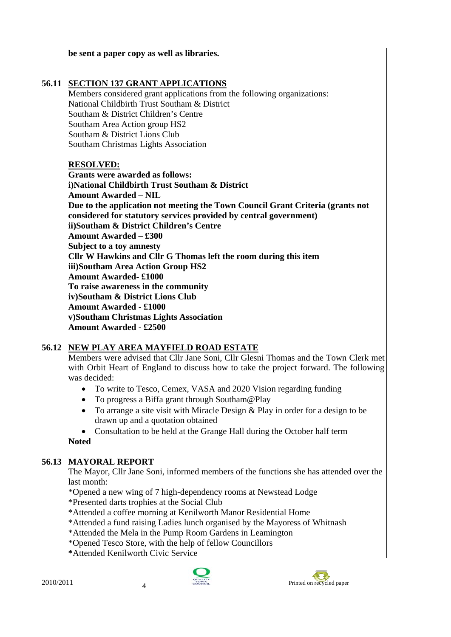## **be sent a paper copy as well as libraries.**

## **56.11 SECTION 137 GRANT APPLICATIONS**

Members considered grant applications from the following organizations: National Childbirth Trust Southam & District Southam & District Children's Centre Southam Area Action group HS2 Southam & District Lions Club Southam Christmas Lights Association

## **RESOLVED:**

 **Grants were awarded as follows: i)National Childbirth Trust Southam & District Amount Awarded – NIL Due to the application not meeting the Town Council Grant Criteria (grants not considered for statutory services provided by central government) ii)Southam & District Children's Centre Amount Awarded – £300 Subject to a toy amnesty Cllr W Hawkins and Cllr G Thomas left the room during this item iii)Southam Area Action Group HS2 Amount Awarded- £1000 To raise awareness in the community iv)Southam & District Lions Club Amount Awarded - £1000 v)Southam Christmas Lights Association Amount Awarded - £2500** 

## **56.12 NEW PLAY AREA MAYFIELD ROAD ESTATE**

Members were advised that Cllr Jane Soni, Cllr Glesni Thomas and the Town Clerk met with Orbit Heart of England to discuss how to take the project forward. The following was decided:

- To write to Tesco, Cemex, VASA and 2020 Vision regarding funding
- To progress a Biffa grant through Southam@Play
- To arrange a site visit with Miracle Design & Play in order for a design to be drawn up and a quotation obtained

• Consultation to be held at the Grange Hall during the October half term **Noted** 

## **56.13 MAYORAL REPORT**

The Mayor, Cllr Jane Soni, informed members of the functions she has attended over the last month:

\*Opened a new wing of 7 high-dependency rooms at Newstead Lodge

\*Presented darts trophies at the Social Club

- \*Attended a coffee morning at Kenilworth Manor Residential Home
- \*Attended a fund raising Ladies lunch organised by the Mayoress of Whitnash
- \*Attended the Mela in the Pump Room Gardens in Leamington
- \*Opened Tesco Store, with the help of fellow Councillors
- **\***Attended Kenilworth Civic Service



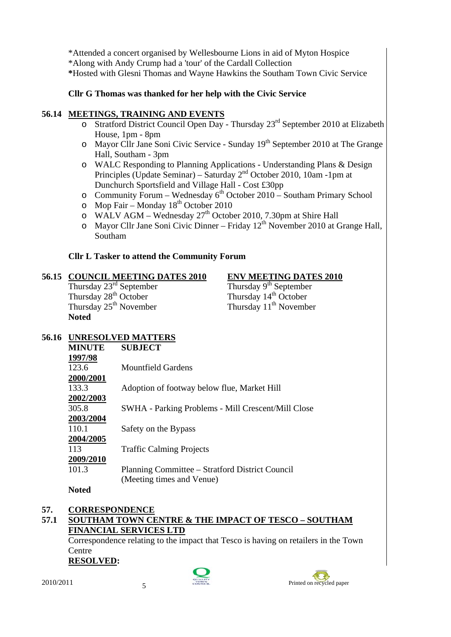\*Attended a concert organised by Wellesbourne Lions in aid of Myton Hospice \*Along with Andy Crump had a 'tour' of the Cardall Collection  **\***Hosted with Glesni Thomas and Wayne Hawkins the Southam Town Civic Service

## **Cllr G Thomas was thanked for her help with the Civic Service**

## **56.14 MEETINGS, TRAINING AND EVENTS**

- o Stratford District Council Open Day Thursday 23rd September 2010 at Elizabeth House, 1pm - 8pm
- o Mayor Cllr Jane Soni Civic Service Sunday 19<sup>th</sup> September 2010 at The Grange Hall, Southam - 3pm
- o WALC Responding to Planning Applications Understanding Plans & Design Principles (Update Seminar) – Saturday  $2<sup>nd</sup>$  October 2010, 10am -1pm at Dunchurch Sportsfield and Village Hall - Cost £30pp
- o Community Forum Wednesday  $6^{th}$  October 2010 Southam Primary School
- $\circ$  Mop Fair Monday 18<sup>th</sup> October 2010
- o WALV AGM Wednesday  $27<sup>th</sup>$  October 2010, 7.30pm at Shire Hall
- $\circ$  Mayor Cllr Jane Soni Civic Dinner Friday 12<sup>th</sup> November 2010 at Grange Hall, Southam

## **Cllr L Tasker to attend the Community Forum**

# **56.15 COUNCIL MEETING DATES 2010** ENV MEETING DATES 2010<br>Thursday 23<sup>rd</sup> September<br>Thursday 9<sup>th</sup> September

Thursday  $23^{\text{rd}}$  September<br>Thursday  $28^{\text{th}}$  October<br>Thursday  $14^{\text{th}}$  October Thursday  $28^{th}$  October<br>Thursday  $25^{th}$  November **Noted** 

Thursday  $11<sup>th</sup>$  November

## **56.16 UNRESOLVED MATTERS**

| <b>MINUTE</b> | <b>SUBJECT</b>                                     |
|---------------|----------------------------------------------------|
| 1997/98       |                                                    |
| 123.6         | <b>Mountfield Gardens</b>                          |
| 2000/2001     |                                                    |
| 133.3         | Adoption of footway below flue, Market Hill        |
| 2002/2003     |                                                    |
| 305.8         | SWHA - Parking Problems - Mill Crescent/Mill Close |
| 2003/2004     |                                                    |
| 110.1         | Safety on the Bypass                               |
| 2004/2005     |                                                    |
| 113           | <b>Traffic Calming Projects</b>                    |
| 2009/2010     |                                                    |
| 101.3         | Planning Committee – Stratford District Council    |
|               | (Meeting times and Venue)                          |
|               |                                                    |

#### **Noted**

## **57. CORRESPONDENCE**

## **57.1 SOUTHAM TOWN CENTRE & THE IMPACT OF TESCO – SOUTHAM FINANCIAL SERVICES LTD**

Correspondence relating to the impact that Tesco is having on retailers in the Town Centre

## **RESOLVED:**



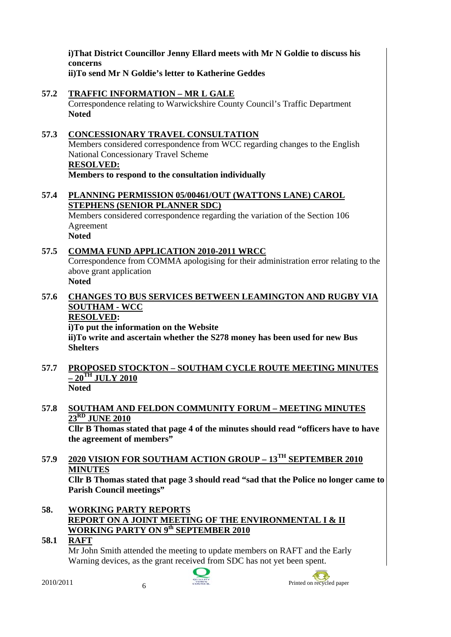**i)That District Councillor Jenny Ellard meets with Mr N Goldie to discuss his concerns** 

**ii)To send Mr N Goldie's letter to Katherine Geddes** 

**57.2 TRAFFIC INFORMATION – MR L GALE** Correspondence relating to Warwickshire County Council's Traffic Department **Noted** 

## **57.3 CONCESSIONARY TRAVEL CONSULTATION** Members considered correspondence from WCC regarding changes to the English National Concessionary Travel Scheme **RESOLVED: Members to respond to the consultation individually**

## **57.4 PLANNING PERMISSION 05/00461/OUT (WATTONS LANE) CAROL STEPHENS (SENIOR PLANNER SDC)**

Members considered correspondence regarding the variation of the Section 106 Agreement **Noted** 

## **57.5 COMMA FUND APPLICATION 2010-2011 WRCC**

Correspondence from COMMA apologising for their administration error relating to the above grant application **Noted** 

## **57.6 CHANGES TO BUS SERVICES BETWEEN LEAMINGTON AND RUGBY VIA SOUTHAM - WCC**

## **RESOLVED:**

**i)To put the information on the Website** 

**ii)To write and ascertain whether the S278 money has been used for new Bus Shelters** 

**57.7 PROPOSED STOCKTON – SOUTHAM CYCLE ROUTE MEETING MINUTES – 20TH JULY 2010 Noted** 

## **57.8 SOUTHAM AND FELDON COMMUNITY FORUM – MEETING MINUTES 23RD JUNE 2010**

**Cllr B Thomas stated that page 4 of the minutes should read "officers have to have the agreement of members"** 

**57.9 2020 VISION FOR SOUTHAM ACTION GROUP – 13TH SEPTEMBER 2010 MINUTES**

**Cllr B Thomas stated that page 3 should read "sad that the Police no longer came to Parish Council meetings"** 

- **58. WORKING PARTY REPORTS REPORT ON A JOINT MEETING OF THE ENVIRONMENTAL I & II WORKING PARTY ON 9th SEPTEMBER 2010**
- **58.1 RAFT**

Mr John Smith attended the meeting to update members on RAFT and the Early Warning devices, as the grant received from SDC has not yet been spent.



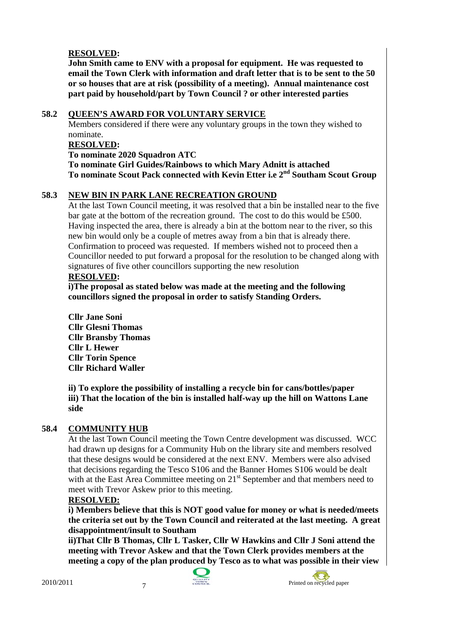## **RESOLVED:**

**John Smith came to ENV with a proposal for equipment. He was requested to email the Town Clerk with information and draft letter that is to be sent to the 50 or so houses that are at risk (possibility of a meeting). Annual maintenance cost part paid by household/part by Town Council ? or other interested parties** 

## **58.2 QUEEN'S AWARD FOR VOLUNTARY SERVICE**

Members considered if there were any voluntary groups in the town they wished to nominate.

## **RESOLVED:**

**To nominate 2020 Squadron ATC** 

**To nominate Girl Guides/Rainbows to which Mary Adnitt is attached To nominate Scout Pack connected with Kevin Etter i.e 2nd Southam Scout Group** 

## **58.3 NEW BIN IN PARK LANE RECREATION GROUND**

At the last Town Council meeting, it was resolved that a bin be installed near to the five bar gate at the bottom of the recreation ground. The cost to do this would be £500. Having inspected the area, there is already a bin at the bottom near to the river, so this new bin would only be a couple of metres away from a bin that is already there. Confirmation to proceed was requested. If members wished not to proceed then a Councillor needed to put forward a proposal for the resolution to be changed along with signatures of five other councillors supporting the new resolution

## **RESOLVED:**

**i)The proposal as stated below was made at the meeting and the following councillors signed the proposal in order to satisfy Standing Orders.** 

**Cllr Jane Soni Cllr Glesni Thomas Cllr Bransby Thomas Cllr L Hewer Cllr Torin Spence Cllr Richard Waller** 

**ii) To explore the possibility of installing a recycle bin for cans/bottles/paper iii) That the location of the bin is installed half-way up the hill on Wattons Lane side** 

## **58.4 COMMUNITY HUB**

At the last Town Council meeting the Town Centre development was discussed. WCC had drawn up designs for a Community Hub on the library site and members resolved that these designs would be considered at the next ENV. Members were also advised that decisions regarding the Tesco S106 and the Banner Homes S106 would be dealt with at the East Area Committee meeting on 21<sup>st</sup> September and that members need to meet with Trevor Askew prior to this meeting.

## **RESOLVED:**

**i) Members believe that this is NOT good value for money or what is needed/meets the criteria set out by the Town Council and reiterated at the last meeting. A great disappointment/insult to Southam** 

**ii)That Cllr B Thomas, Cllr L Tasker, Cllr W Hawkins and Cllr J Soni attend the meeting with Trevor Askew and that the Town Clerk provides members at the meeting a copy of the plan produced by Tesco as to what was possible in their view** 

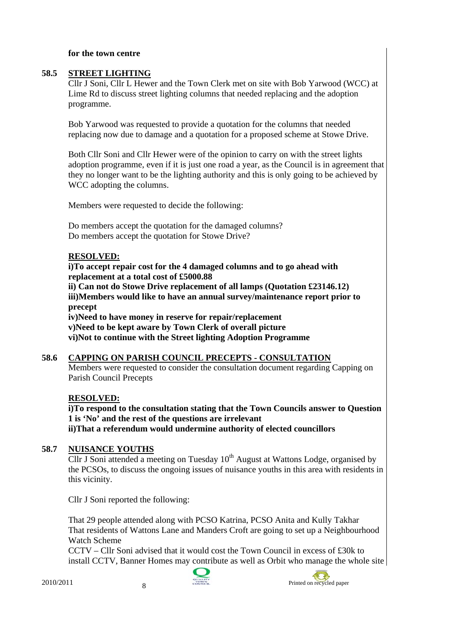#### **for the town centre**

## **58.5 STREET LIGHTING**

Cllr J Soni, Cllr L Hewer and the Town Clerk met on site with Bob Yarwood (WCC) at Lime Rd to discuss street lighting columns that needed replacing and the adoption programme.

Bob Yarwood was requested to provide a quotation for the columns that needed replacing now due to damage and a quotation for a proposed scheme at Stowe Drive.

Both Cllr Soni and Cllr Hewer were of the opinion to carry on with the street lights adoption programme, even if it is just one road a year, as the Council is in agreement that they no longer want to be the lighting authority and this is only going to be achieved by WCC adopting the columns.

Members were requested to decide the following:

Do members accept the quotation for the damaged columns? Do members accept the quotation for Stowe Drive?

## **RESOLVED:**

 **i)To accept repair cost for the 4 damaged columns and to go ahead with replacement at a total cost of £5000.88** 

 **ii) Can not do Stowe Drive replacement of all lamps (Quotation £23146.12) iii)Members would like to have an annual survey/maintenance report prior to precept** 

 **iv)Need to have money in reserve for repair/replacement** 

 **v)Need to be kept aware by Town Clerk of overall picture** 

 **vi)Not to continue with the Street lighting Adoption Programme** 

## **58.6 CAPPING ON PARISH COUNCIL PRECEPTS - CONSULTATION**

Members were requested to consider the consultation document regarding Capping on Parish Council Precepts

## **RESOLVED:**

**i)To respond to the consultation stating that the Town Councils answer to Question 1 is 'No' and the rest of the questions are irrelevant ii)That a referendum would undermine authority of elected councillors** 

## **58.7 NUISANCE YOUTHS**

Cllr J Soni attended a meeting on Tuesday  $10<sup>th</sup>$  August at Wattons Lodge, organised by the PCSOs, to discuss the ongoing issues of nuisance youths in this area with residents in this vicinity.

Cllr J Soni reported the following:

That 29 people attended along with PCSO Katrina, PCSO Anita and Kully Takhar That residents of Wattons Lane and Manders Croft are going to set up a Neighbourhood Watch Scheme

CCTV – Cllr Soni advised that it would cost the Town Council in excess of £30k to install CCTV, Banner Homes may contribute as well as Orbit who manage the whole site



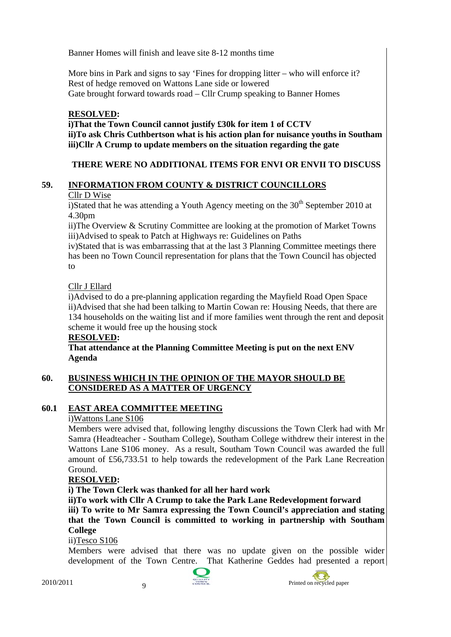Banner Homes will finish and leave site 8-12 months time

More bins in Park and signs to say 'Fines for dropping litter – who will enforce it? Rest of hedge removed on Wattons Lane side or lowered Gate brought forward towards road – Cllr Crump speaking to Banner Homes

## **RESOLVED:**

**i)That the Town Council cannot justify £30k for item 1 of CCTV ii)To ask Chris Cuthbertson what is his action plan for nuisance youths in Southam iii)Cllr A Crump to update members on the situation regarding the gate** 

## **THERE WERE NO ADDITIONAL ITEMS FOR ENVI OR ENVII TO DISCUSS**

## **59. INFORMATION FROM COUNTY & DISTRICT COUNCILLORS**

## Cllr D Wise

i)Stated that he was attending a Youth Agency meeting on the  $30<sup>th</sup>$  September 2010 at 4.30pm

ii)The Overview & Scrutiny Committee are looking at the promotion of Market Towns iii)Advised to speak to Patch at Highways re: Guidelines on Paths

iv)Stated that is was embarrassing that at the last 3 Planning Committee meetings there has been no Town Council representation for plans that the Town Council has objected to

## Cllr J Ellard

i)Advised to do a pre-planning application regarding the Mayfield Road Open Space ii)Advised that she had been talking to Martin Cowan re: Housing Needs, that there are 134 households on the waiting list and if more families went through the rent and deposit scheme it would free up the housing stock

## **RESOLVED:**

**That attendance at the Planning Committee Meeting is put on the next ENV Agenda** 

## **60. BUSINESS WHICH IN THE OPINION OF THE MAYOR SHOULD BE CONSIDERED AS A MATTER OF URGENCY**

## **60.1 EAST AREA COMMITTEE MEETING**

## i)Wattons Lane S106

Members were advised that, following lengthy discussions the Town Clerk had with Mr Samra (Headteacher - Southam College), Southam College withdrew their interest in the Wattons Lane S106 money. As a result, Southam Town Council was awarded the full amount of £56,733.51 to help towards the redevelopment of the Park Lane Recreation Ground.

## **RESOLVED:**

**i) The Town Clerk was thanked for all her hard work** 

**ii)To work with Cllr A Crump to take the Park Lane Redevelopment forward** 

**iii) To write to Mr Samra expressing the Town Council's appreciation and stating that the Town Council is committed to working in partnership with Southam College** 

ii)Tesco S106

Members were advised that there was no update given on the possible wider development of the Town Centre. That Katherine Geddes had presented a report



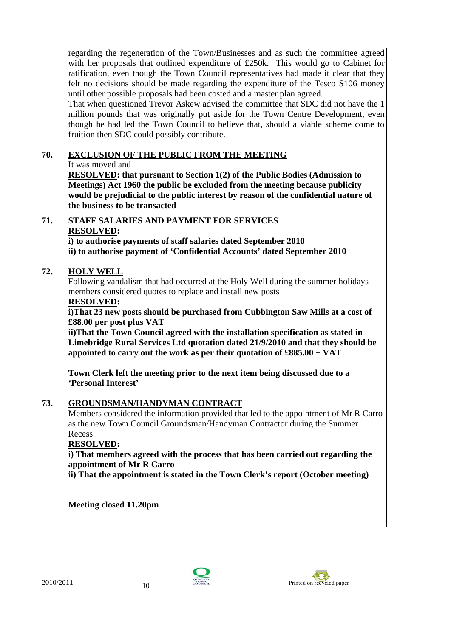regarding the regeneration of the Town/Businesses and as such the committee agreed with her proposals that outlined expenditure of £250k. This would go to Cabinet for ratification, even though the Town Council representatives had made it clear that they felt no decisions should be made regarding the expenditure of the Tesco S106 money until other possible proposals had been costed and a master plan agreed.

That when questioned Trevor Askew advised the committee that SDC did not have the 1 million pounds that was originally put aside for the Town Centre Development, even though he had led the Town Council to believe that, should a viable scheme come to fruition then SDC could possibly contribute.

## **70. EXCLUSION OF THE PUBLIC FROM THE MEETING**

## It was moved and

**RESOLVED: that pursuant to Section 1(2) of the Public Bodies (Admission to Meetings) Act 1960 the public be excluded from the meeting because publicity would be prejudicial to the public interest by reason of the confidential nature of the business to be transacted** 

## **71. STAFF SALARIES AND PAYMENT FOR SERVICES RESOLVED:**

**i) to authorise payments of staff salaries dated September 2010 ii) to authorise payment of 'Confidential Accounts' dated September 2010** 

## **72. HOLY WELL**

Following vandalism that had occurred at the Holy Well during the summer holidays members considered quotes to replace and install new posts

## **RESOLVED:**

**i)That 23 new posts should be purchased from Cubbington Saw Mills at a cost of £88.00 per post plus VAT** 

**ii)That the Town Council agreed with the installation specification as stated in Limebridge Rural Services Ltd quotation dated 21/9/2010 and that they should be appointed to carry out the work as per their quotation of £885.00 + VAT** 

**Town Clerk left the meeting prior to the next item being discussed due to a 'Personal Interest'** 

## **73. GROUNDSMAN/HANDYMAN CONTRACT**

Members considered the information provided that led to the appointment of Mr R Carro as the new Town Council Groundsman/Handyman Contractor during the Summer Recess

## **RESOLVED:**

**i) That members agreed with the process that has been carried out regarding the appointment of Mr R Carro** 

**ii) That the appointment is stated in the Town Clerk's report (October meeting)** 

**Meeting closed 11.20pm**